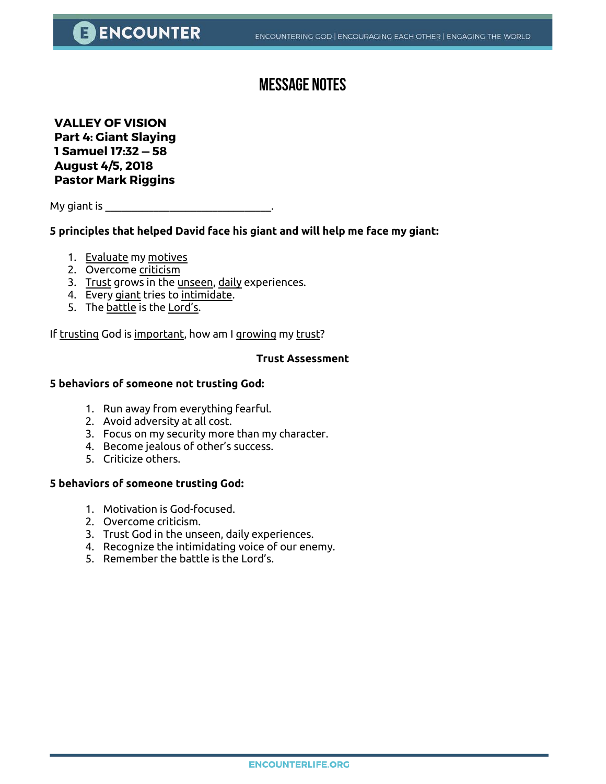## **Message Notes**

**VALLEY OF VISION Part 4: Giant Slaying 1 Samuel 17:32 — 58 August 4/5, 2018 Pastor Mark Riggins**

My giant is \_\_\_\_\_\_\_\_\_\_\_\_\_\_\_\_\_\_\_\_\_\_\_\_\_\_\_\_\_\_\_.

### **5 principles that helped David face his giant and will help me face my giant:**

- 1. Evaluate my motives
- 2. Overcome criticism
- 3. Trust grows in the unseen, daily experiences.
- 4. Every giant tries to intimidate.
- 5. The battle is the Lord's.

If trusting God is important, how am I growing my trust?

#### **Trust Assessment**

#### **5 behaviors of someone not trusting God:**

- 1. Run away from everything fearful.
- 2. Avoid adversity at all cost.
- 3. Focus on my security more than my character.
- 4. Become jealous of other's success.
- 5. Criticize others.

#### **5 behaviors of someone trusting God:**

- 1. Motivation is God-focused.
- 2. Overcome criticism.
- 3. Trust God in the unseen, daily experiences.
- 4. Recognize the intimidating voice of our enemy.
- 5. Remember the battle is the Lord's.